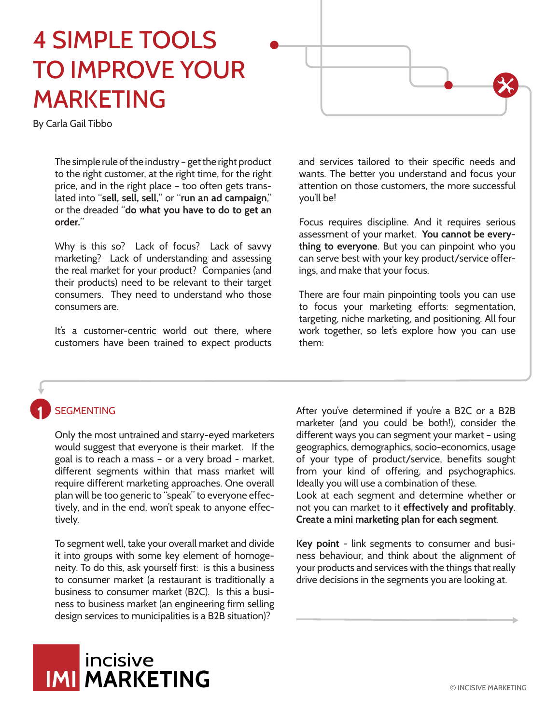# 4 SIMPLE TOOLS TO IMPROVE YOUR MARKETING



The simple rule of the industry – get the right product to the right customer, at the right time, for the right price, and in the right place – too often gets translated into "**sell, sell, sell,**" or "**run an ad campaign**," or the dreaded "**do what you have to do to get an order.**"

Why is this so? Lack of focus? Lack of savvy marketing? Lack of understanding and assessing the real market for your product? Companies (and their products) need to be relevant to their target consumers. They need to understand who those consumers are.

It's a customer-centric world out there, where customers have been trained to expect products

and services tailored to their specific needs and wants. The better you understand and focus your attention on those customers, the more successful you'll be!

Focus requires discipline. And it requires serious assessment of your market. **You cannot be everything to everyone**. But you can pinpoint who you can serve best with your key product/service offerings, and make that your focus.

There are four main pinpointing tools you can use to focus your marketing efforts: segmentation, targeting, niche marketing, and positioning. All four work together, so let's explore how you can use them:

#### **SEGMENTING 1**

Only the most untrained and starry-eyed marketers would suggest that everyone is their market. If the goal is to reach a mass – or a very broad - market, different segments within that mass market will require different marketing approaches. One overall plan will be too generic to "speak" to everyone effectively, and in the end, won't speak to anyone effectively.

To segment well, take your overall market and divide it into groups with some key element of homogeneity. To do this, ask yourself first: is this a business to consumer market (a restaurant is traditionally a business to consumer market (B2C). Is this a business to business market (an engineering firm selling design services to municipalities is a B2B situation)?

After you've determined if you're a B2C or a B2B marketer (and you could be both!), consider the different ways you can segment your market – using geographics, demographics, socio-economics, usage of your type of product/service, benefits sought from your kind of offering, and psychographics. Ideally you will use a combination of these. Look at each segment and determine whether or not you can market to it **effectively and profitably**. **Create a mini marketing plan for each segment**.

**Key point** - link segments to consumer and business behaviour, and think about the alignment of your products and services with the things that really drive decisions in the segments you are looking at.